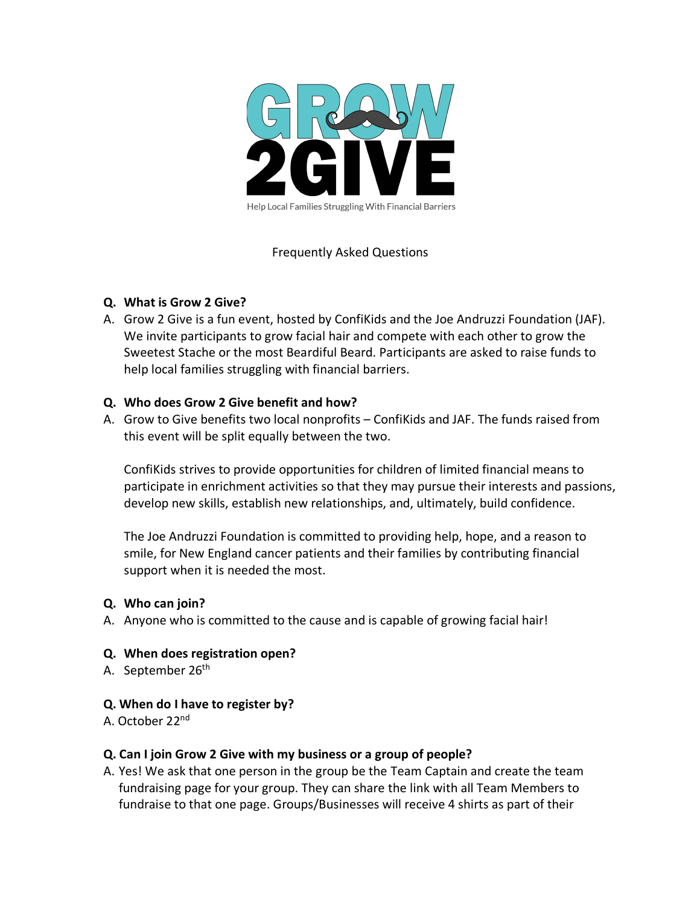

# Frequently Asked Questions

# **Q. What is Grow 2 Give?**

A. Grow 2 Give is a fun event, hosted by ConfiKids and the Joe Andruzzi Foundation (JAF). We invite participants to grow facial hair and compete with each other to grow the Sweetest Stache or the most Beardiful Beard. Participants are asked to raise funds to help local families struggling with financial barriers.

# **Q. Who does Grow 2 Give benefit and how?**

A. Grow to Give benefits two local nonprofits – ConfiKids and JAF. The funds raised from this event will be split equally between the two.

ConfiKids strives to provide opportunities for children of limited financial means to participate in enrichment activities so that they may pursue their interests and passions, develop new skills, establish new relationships, and, ultimately, build confidence.

The Joe Andruzzi Foundation is committed to providing help, hope, and a reason to smile, for New England cancer patients and their families by contributing financial support when it is needed the most.

# **Q. Who can join?**

A. Anyone who is committed to the cause and is capable of growing facial hair!

#### **Q. When does registration open?**

A. September 26<sup>th</sup>

#### **Q. When do I have to register by?**

A. October 22nd

#### **Q. Can I join Grow 2 Give with my business or a group of people?**

A. Yes! We ask that one person in the group be the Team Captain and create the team fundraising page for your group. They can share the link with all Team Members to fundraise to that one page. Groups/Businesses will receive 4 shirts as part of their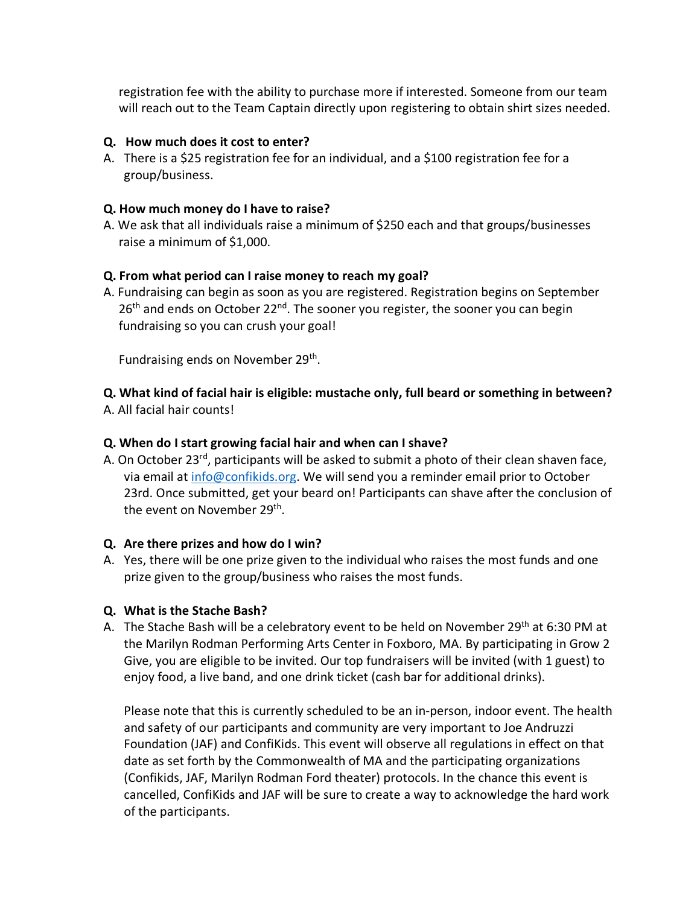registration fee with the ability to purchase more if interested. Someone from our team will reach out to the Team Captain directly upon registering to obtain shirt sizes needed.

### **Q. How much does it cost to enter?**

A. There is a \$25 registration fee for an individual, and a \$100 registration fee for a group/business.

#### **Q. How much money do I have to raise?**

A. We ask that all individuals raise a minimum of \$250 each and that groups/businesses raise a minimum of \$1,000.

# **Q. From what period can I raise money to reach my goal?**

A. Fundraising can begin as soon as you are registered. Registration begins on September  $26<sup>th</sup>$  and ends on October 22<sup>nd</sup>. The sooner you register, the sooner you can begin fundraising so you can crush your goal!

Fundraising ends on November 29<sup>th</sup>.

**Q. What kind of facial hair is eligible: mustache only, full beard or something in between?** A. All facial hair counts!

# **Q. When do I start growing facial hair and when can I shave?**

A. On October 23<sup>rd</sup>, participants will be asked to submit a photo of their clean shaven face, via email at info@confikids.org. We will send you a reminder email prior to October 23rd. Once submitted, get your beard on! Participants can shave after the conclusion of the event on November 29<sup>th</sup>.

#### **Q. Are there prizes and how do I win?**

A. Yes, there will be one prize given to the individual who raises the most funds and one prize given to the group/business who raises the most funds.

#### **Q. What is the Stache Bash?**

A. The Stache Bash will be a celebratory event to be held on November 29th at 6:30 PM at the Marilyn Rodman Performing Arts Center in Foxboro, MA. By participating in Grow 2 Give, you are eligible to be invited. Our top fundraisers will be invited (with 1 guest) to enjoy food, a live band, and one drink ticket (cash bar for additional drinks).

Please note that this is currently scheduled to be an in-person, indoor event. The health and safety of our participants and community are very important to Joe Andruzzi Foundation (JAF) and ConfiKids. This event will observe all regulations in effect on that date as set forth by the Commonwealth of MA and the participating organizations (Confikids, JAF, Marilyn Rodman Ford theater) protocols. In the chance this event is cancelled, ConfiKids and JAF will be sure to create a way to acknowledge the hard work of the participants.